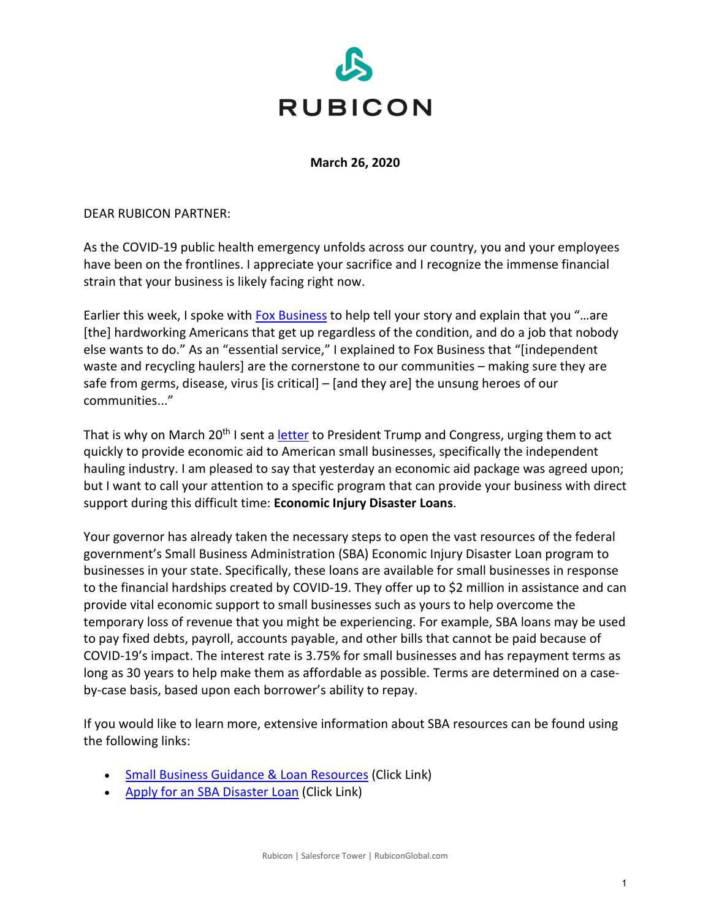

**March 26, 2020**

DEAR RUBICON PARTNER:

As the COVID-19 public health emergency unfolds across our country, you and your employees have been on the frontlines. I appreciate your sacrifice and I recognize the immense financial strain that your business is likely facing right now.

Earlier this week, I spoke with **[Fox Business](https://www.foxbusiness.com/lifestyle/waste-management-workers-are-coronavirus-crisis-unsung-heroes-industry-experts-say)** to help tell your story and explain that you "...are [the] hardworking Americans that get up regardless of the condition, and do a job that nobody else wants to do." As an "essential service," I explained to Fox Business that "[independent waste and recycling haulers] are the cornerstone to our communities – making sure they are safe from germs, disease, virus [is critical] – [and they are] the unsung heroes of our communities..."

That is why on March 20<sup>th</sup> I sent a [letter](https://www.rubiconglobal.com/blog/congress-cannot-ignore-nations-independent-waste-haulers/) to President Trump and Congress, urging them to act quickly to provide economic aid to American small businesses, specifically the independent hauling industry. I am pleased to say that yesterday an economic aid package was agreed upon; but I want to call your attention to a specific program that can provide your business with direct support during this difficult time: **Economic Injury Disaster Loans**.

Your governor has already taken the necessary steps to open the vast resources of the federal government's Small Business Administration (SBA) Economic Injury Disaster Loan program to businesses in your state. Specifically, these loans are available for small businesses in response to the financial hardships created by COVID-19. They offer up to \$2 million in assistance and can provide vital economic support to small businesses such as yours to help overcome the temporary loss of revenue that you might be experiencing. For example, SBA loans may be used to pay fixed debts, payroll, accounts payable, and other bills that cannot be paid because of COVID-19's impact. The interest rate is 3.75% for small businesses and has repayment terms as long as 30 years to help make them as affordable as possible. Terms are determined on a caseby-case basis, based upon each borrower's ability to repay.

If you would like to learn more, extensive information about SBA resources can be found using the following links:

- [Small Business Guidance & Loan Resources](https://www.sba.gov/page/coronavirus-covid-19-small-business-guidance-loan-resources) (Click Link)
- [Apply for an SBA Disaster Loan](https://www.sba.gov/funding-programs/disaster-assistance) (Click Link)